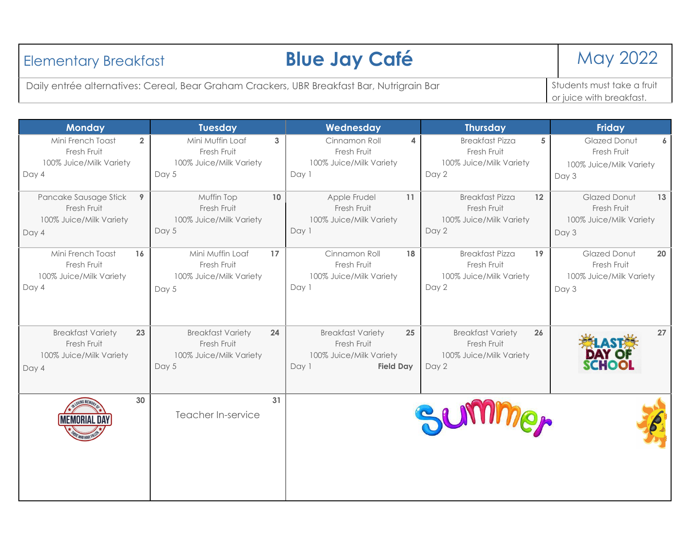| <b>Elementary Breakfast</b>                                                                | <b>Blue Jay Café</b> | <b>May 2022</b>                                                     |
|--------------------------------------------------------------------------------------------|----------------------|---------------------------------------------------------------------|
| Daily entrée alternatives: Cereal, Bear Graham Crackers, UBR Breakfast Bar, Nutrigrain Bar |                      | Students must take a fruit<br><sup>I</sup> or juice with breakfast. |

| <b>Monday</b>                                                                     |                         | <b>Tuesday</b>                                                     |              | Wednesday                                                                                       |    | <b>Thursday</b>                                                             |    | <b>Friday</b>                                                                |
|-----------------------------------------------------------------------------------|-------------------------|--------------------------------------------------------------------|--------------|-------------------------------------------------------------------------------------------------|----|-----------------------------------------------------------------------------|----|------------------------------------------------------------------------------|
| Mini French Toast<br>Fresh Fruit<br>100% Juice/Milk Variety<br>Day 4              | $\overline{2}$<br>Day 5 | Mini Muffin Loaf<br>Fresh Fruit<br>100% Juice/Milk Variety         | $\mathbf{3}$ | Cinnamon Roll<br>Fresh Fruit<br>100% Juice/Milk Variety<br>Day 1                                | 4  | <b>Breakfast Pizza</b><br>Fresh Fruit<br>100% Juice/Milk Variety<br>Day 2   | 5  | <b>Glazed Donut</b><br>6<br>Fresh Fruit<br>100% Juice/Milk Variety<br>Day 3  |
| Pancake Sausage Stick<br>Fresh Fruit<br>100% Juice/Milk Variety<br>Day 4          | 9<br>Day 5              | Muffin Top<br>Fresh Fruit<br>100% Juice/Milk Variety               | 10           | Apple Frudel<br>Fresh Fruit<br>100% Juice/Milk Variety<br>Day 1                                 | 11 | <b>Breakfast Pizza</b><br>Fresh Fruit<br>100% Juice/Milk Variety<br>Day 2   | 12 | <b>Glazed Donut</b><br>13<br>Fresh Fruit<br>100% Juice/Milk Variety<br>Day 3 |
| Mini French Toast<br>16<br>Fresh Fruit<br>100% Juice/Milk Variety<br>Day 4        | Day 5                   | Mini Muffin Loaf<br>Fresh Fruit<br>100% Juice/Milk Variety         | 17           | Cinnamon Roll<br>Fresh Fruit<br>100% Juice/Milk Variety<br>Day 1                                | 18 | <b>Breakfast Pizza</b><br>Fresh Fruit<br>100% Juice/Milk Variety<br>Day 2   | 19 | Glazed Donut<br>20<br>Fresh Fruit<br>100% Juice/Milk Variety<br>Day 3        |
| <b>Breakfast Variety</b><br>23<br>Fresh Fruit<br>100% Juice/Milk Variety<br>Day 4 | Day 5                   | <b>Breakfast Variety</b><br>Fresh Fruit<br>100% Juice/Milk Variety | 24           | <b>Breakfast Variety</b><br>Fresh Fruit<br>100% Juice/Milk Variety<br><b>Field Day</b><br>Day 1 | 25 | <b>Breakfast Variety</b><br>Fresh Fruit<br>100% Juice/Milk Variety<br>Day 2 | 26 | 27<br><b>DAY OF</b><br><b>SCHOOL</b>                                         |
| 30<br>AEMORIAI                                                                    |                         | Teacher In-service                                                 | 31           |                                                                                                 |    | <b>Miner</b>                                                                |    |                                                                              |